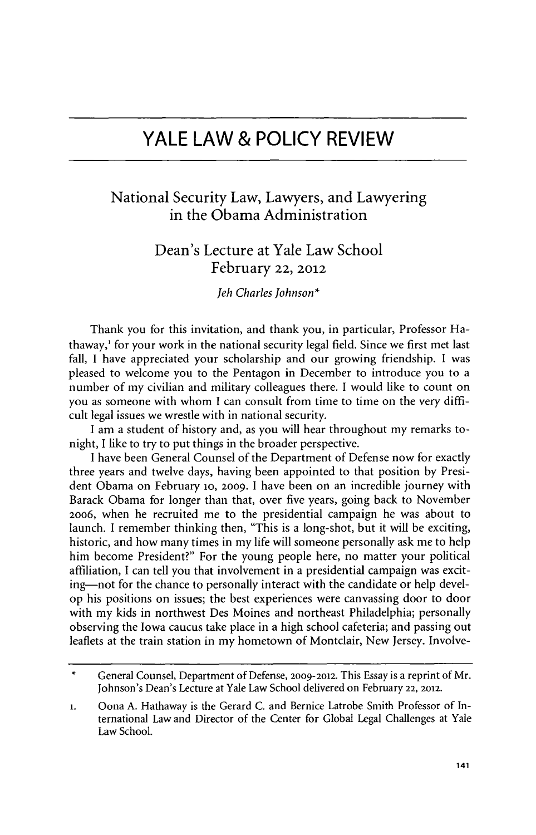# YALE LAW **&** POLICY REVIEW

## National Security Law, Lawyers, and Lawyering in the Obama Administration

## Dean's Lecture at Yale Law School February 22, 2012

#### *Jeh Charles Johnson\**

Thank you for this invitation, and thank you, in particular, Professor Hathaway,' for your work in the national security legal field. Since we first met last fall, **I** have appreciated your scholarship and our growing friendship. **I** was pleased to welcome you to the Pentagon in December to introduce you to a number of my civilian and military colleagues there. **I** would like to count on you as someone with whom **I** can consult from time to time on the very difficult legal issues we wrestle with in national security.

**I** am a student of history and, as you will hear throughout my remarks tonight, **I** like to try to put things in the broader perspective.

**I** have been General Counsel of the Department of Defense now for exactly three years and twelve days, having been appointed to that position **by** President Obama on February **io, 2009.** I have been on an incredible journey with Barack Obama for longer than that, over five years, going back to November **2006,** when he recruited me to the presidential campaign he was about to launch. **I** remember thinking then, "This is a long-shot, but it will be exciting, historic, and how many times in my life will someone personally ask me to help him become President?" For the young people here, no matter your political affiliation, **I** can tell you that involvement in a presidential campaign was exciting—not for the chance to personally interact with the candidate or help develop his positions on issues; the best experiences were canvassing door to door with my kids in northwest Des Moines and northeast Philadelphia; personally observing the Iowa caucus take place in a high school cafeteria; and passing out leaflets at the train station in my hometown of Montclair, New Jersey. Involve-

<sup>\*</sup> General Counsel, Department of Defense, **2009-2012.** This Essay is a reprint of Mr. Johnson's Dean's Lecture at Yale Law School delivered on February **22, 2012.**

**<sup>1.</sup>** Oona **A.** Hathaway is the Gerard **C.** and Bernice Latrobe Smith Professor of International Law and Director of the Center for Global Legal Challenges at Yale Law School.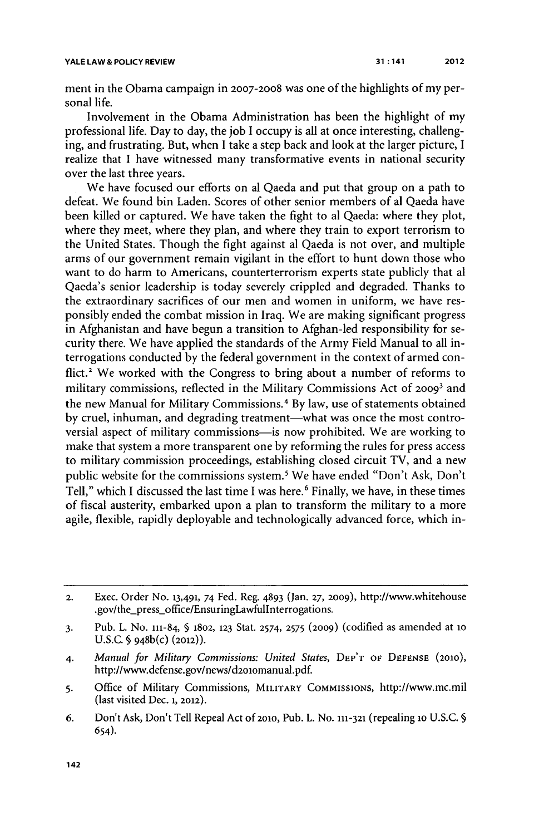ment in the Obama campaign in 2007-2oo8 was one of the highlights of my personal life.

Involvement in the Obama Administration has been the highlight of my professional life. Day to day, the **job I** occupy is all at once interesting, challenging, and frustrating. But, when **I** take a step back and look at the larger picture, **I** realize that **I** have witnessed many transformative events in national security over the last three years.

We have focused our efforts on al Qaeda and put that group on a path to defeat. We found bin Laden. Scores of other senior members of al Qaeda have been killed or captured. We have taken the fight to al Qaeda: where they plot, where they meet, where they plan, and where they train to export terrorism to the United States. Though the fight against al Qaeda is not over, and multiple arms of our government remain vigilant in the effort to hunt down those who want to do harm to Americans, counterterrorism experts state publicly that al Qaeda's senior leadership is today severely crippled and degraded. Thanks to the extraordinary sacrifices of our men and women in uniform, we have responsibly ended the combat mission in Iraq. We are making significant progress in Afghanistan and have begun a transition to Afghan-led responsibility for security there. We have applied the standards of the Army Field Manual to all interrogations conducted **by** the federal government in the context of armed conflict.<sup>2</sup> We worked with the Congress to bring about a number of reforms to military commissions, reflected in the Military Commissions Act **of 20o9** and the new Manual for Military Commissions. <sup>4</sup>**By** law, use of statements obtained by cruel, inhuman, and degrading treatment-what was once the most controversial aspect of military commissions-is now prohibited. We are working to make that system a more transparent one **by** reforming the rules for press access to military commission proceedings, establishing closed circuit TV, and a new public website for the commissions system.<sup>5</sup> We have ended "Don't Ask, Don't Tell," which **I** discussed the last time **I** was here.' Finally, we have, in these times of fiscal austerity, embarked upon a plan to transform the military to a more agile, flexible, rapidly deployable and technologically advanced force, which in-

**<sup>2.</sup>** Exec. Order No. **13,491,** 74 Fed. Reg. **4893** (Jan. **27, 2009),** http://www.whitehouse .gov/the-press-office/EnsuringLawfullnterrogations.

**<sup>3.</sup>** Pub. L. No. 111-84, **§ 1802, 123** Stat. **2574, 2575 (2009)** (codified as amended at io **U.S.C. §** 948b(c) **(2012)).**

*<sup>4.</sup> Manual for Military Commissions: United States,* **DEP'T OF DEFENSE (2010),** http://www.defense.gov/news/d201Omanual.pdf.

**<sup>5.</sup>** Office of Military Commissions, **MILITARY COMMISSIONs,** http://www.mc.mil (last visited Dec. **1, 2012).**

*<sup>6.</sup>* Don't Ask, Don't Tell Repeal Act **of 2010,** Pub. L. No. **111-321** (repealing io **U.S.C. §** 654).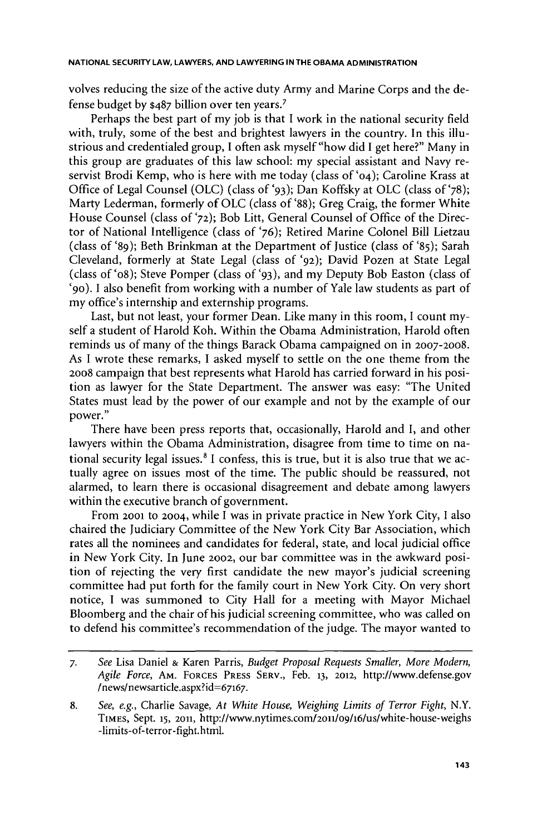volves reducing the size of the active duty Army and Marine Corps and the defense budget **by \$487** billion over ten years.7

Perhaps the best part of my **job** is that I work in the national security field with, truly, some of the best and brightest lawyers in the country. In this illustrious and credentialed group, **I** often ask myself "how did **I** get here?" Many in this group are graduates of this law school: my special assistant and Navy reservist Brodi Kemp, who is here with me today (class of **'04);** Caroline Krass at Office of Legal Counsel **(OLC)** (class **of '93);** Dan Koffsky at **OLC** (class **of'78);** Marty Lederman, formerly of **OLC** (class of **'88);** Greg Craig, the former White House Counsel (class **of '72);** Bob Litt, General Counsel of Office of the Director of National Intelligence (class *of '76);* Retired Marine Colonel Bill Lietzau (class of **'89);** Beth Brinkman at the Department of Justice (class of *'85);* Sarah Cleveland, formerly at State Legal (class **of '92);** David Pozen at State Legal (class of 'o8); Steve Pomper (class **of '93),** and my Deputy Bob Easton (class of **'90). I** also benefit from working with a number of Yale law students as part of my office's internship and externship programs.

Last, but not least, your former Dean. Like many in this room, **I** count myself a student of Harold Koh. Within the Obama Administration, Harold often reminds us of many of the things Barack Obama campaigned on in **2007-2008.** As **I** wrote these remarks, **I** asked myself to settle on the one theme from the **2008** campaign that best represents what Harold has carried forward in his position *as* lawyer for the State Department. The answer was easy: "The United States must lead **by** the power of our example and not **by** the example of our power.

There have been press reports that, occasionally, Harold and **I,** and other lawyers within the Obama Administration, disagree from time to time on national security legal issues.<sup>8</sup> I confess, this is true, but it is also true that we actually agree on issues most of the time. The public should be reassured, not alarmed, to learn there is occasional disagreement and debate among lawyers within the executive branch of government.

From **2001** to **2004,** while **I** was in private practice in New York City, **I** also chaired the Judiciary Committee of the New York City Bar Association, which rates all the nominees and candidates for federal, state, and local judicial office in New York City. In June **2002,** our bar committee was in the awkward position of rejecting the very first candidate the new mayor's judicial screening committee had put forth for the family court in New York City. On very short notice, **I** was summoned to City Hall for a meeting with Mayor Michael Bloomberg and the chair of his judicial screening committee, who was called on to defend his committee's recommendation of the judge. The mayor wanted to

**<sup>7.</sup>** *See* Lisa Daniel **&** Karen Parris, *Budget Proposal Requests Smaller, More Modern, Agile Force,* **AM. FORCES PRESS SERv.,** Feb. **13, 2012,** http://www.defense.gov /news/newsarticle.aspx?id=67167.

**<sup>8.</sup>** *See, e.g.,* Charlie Savage, *At White House, Weighing Limits of Terror Fight, N.Y.* TIMES, Sept. 15, 2011, http://www.nytimes.com/2011/09/16/us/white-house-weighs -limits-of-terror-fight.html.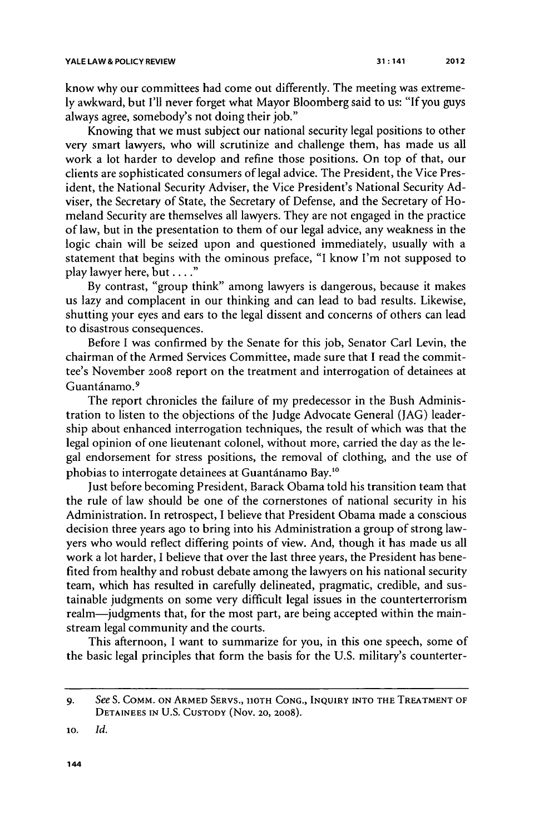know why our committees had come out differently. The meeting was extreme**ly** awkward, but **I'll** never forget what Mayor Bloomberg said to us: "If you guys always agree, somebody's not doing their **job."**

Knowing that we must subject our national security legal positions to other very smart lawyers, who will scrutinize and challenge them, has made us all work a lot harder to develop and refine those positions. On top of that, our clients are sophisticated consumers of legal advice. The President, the Vice President, the National Security Adviser, the Vice President's National Security **Ad**viser, the Secretary **of** State, the Secretary **of** Defense, and the Secretary of Homeland Security are themselves all lawyers. They are not engaged in the practice **of** law, but in the presentation to them of our legal advice, any weakness in the logic chain will be seized upon and questioned immediately, usually with a statement that begins with the ominous preface, **"I** know I'm not supposed to play lawyer here, but.. **..**

**By** contrast, "group think" among lawyers is dangerous, because it makes us lazy and complacent in our thinking and can lead to bad results. Likewise, shutting your eyes and ears to the legal dissent and concerns of others can lead to disastrous consequences.

Before I was confirmed **by** the Senate for this **job,** Senator Carl Levin, the chairman of the Armed Services Committee, made sure that **I** read the committee's November 2008 report on the treatment and interrogation of detainees at Guantánamo.<sup>9</sup>

The report chronicles the failure of my predecessor in the Bush Administration to listen to the objections of the Judge Advocate General **(JAG)** leadership about enhanced interrogation techniques, the result of which was that the legal opinion of one lieutenant colonel, without more, carried the day as the legal endorsement for stress positions, the removal of clothing, and the use of phobias to interrogate detainees at Guantánamo Bay.<sup>10</sup>

Just before becoming President, Barack Obama told his transition team that the rule of law should be one of the cornerstones of national security in his Administration. In retrospect, **I** believe that President Obama made a conscious decision three years ago to bring into his Administration a group of strong lawyers who would reflect differing points of view. And, though it has made us all work a lot harder, **I** believe that over the last three years, the President has benefited from healthy and robust debate among the lawyers on his national security team, which has resulted in carefully delineated, pragmatic, credible, and sustainable judgments on some very difficult legal issues in the counterterrorism realm-judgments that, for the most part, are being accepted within the mainstream legal community and the courts.

This afternoon, **I** want to summarize for you, in this one speech, some of the basic legal principles that form the basis for the **U.S.** military's counterter-

**10.** *Id.*

*<sup>9.</sup> See S. COMM. ON* **ARMED** SERVS., **110TH CONG., INQUIRY INTO THE TREATMENT OF** DETAINEES IN U.S. CUSTODY (Nov. 20, 2008).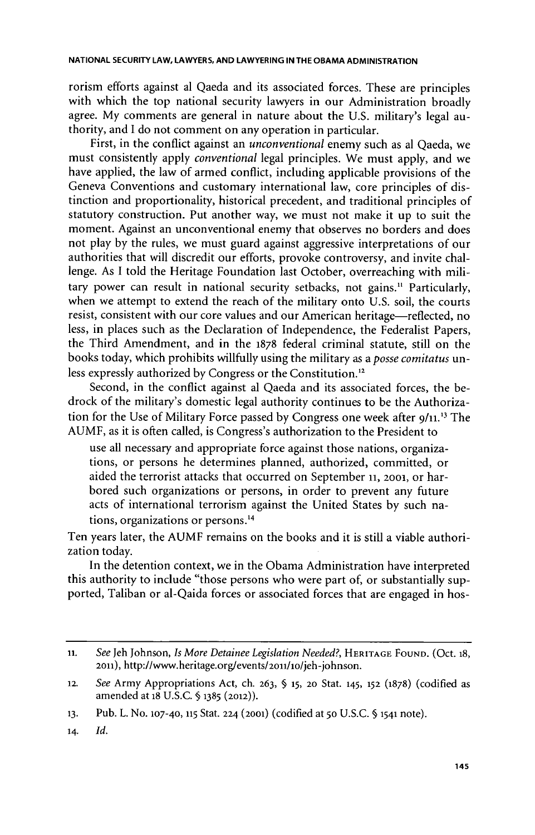rorism efforts against al Qaeda and its associated forces. These are principles with which the top national security lawyers in our Administration broadly agree. **My** comments are general in nature about the **U.S.** military's legal authority, and **I** do not comment on any operation in particular.

First, in the conflict against an *unconventional* enemy such as al Qaeda, we must consistently apply *conventional* legal principles. We must apply, and we have applied, the law of armed conflict, including applicable provisions of the Geneva Conventions and customary international law, core principles of distinction and proportionality, historical precedent, and traditional principles of statutory construction. Put another way, we must not make it up to suit the moment. Against an unconventional enemy that observes no borders and does not play **by** the rules, we must guard against aggressive interpretations of our authorities that will discredit our efforts, provoke controversy, and invite challenge. As **I** told the Heritage Foundation last October, overreaching with military power can result in national security setbacks, not gains." Particularly, when we attempt to extend the reach of the military onto **U.S.** soil, the courts resist, consistent with our core values and our American heritage—reflected, no less, in places such as the Declaration of Independence, the Federalist Papers, the Third Amendment, and in the **1878** federal criminal statute, still on the books today, which prohibits willfully using the military as a *posse comitatus un*less expressly authorized **by** Congress or the Constitution."

Second, in the conflict against al Qaeda and its associated forces, the bedrock of the military's domestic legal authority continues to be the Authorization for the Use of Military Force passed by Congress one week after 9/11.<sup>13</sup> The **AUMF,** as it is often called, is Congress's authorization to the President to

use all necessary and appropriate force against those nations, organizations, or persons he determines planned, authorized, committed, or aided the terrorist attacks that occurred on September **11, 2001,** or harbored such organizations or persons, in order to prevent any future acts of international terrorism against the United States **by** such nations, organizations or persons. <sup>4</sup>

Ten years later, the **AUMF** remains on the books and it is still a viable authorization today.

In the detention context, we in the Obama Administration have interpreted this authority to include "those persons who were part of, or substantially supported, Taliban or al-Qaida forces or associated forces that are engaged in hos-

**<sup>11.</sup>** *See* Jeh Johnson, *Is More Detainee Legislation Needed?,* **HERITAGE FOUND.** (Oct. 18, **2011),** http://www.heritage.org/events/20i/lo/jeh-johnson.

**<sup>12.</sup>** *See* Army Appropriations Act, ch. **263, § 15, 20** Stat. **145, 152** (1878) (codified as amended at **18 U.S.C. § 1385 (2012)).**

**<sup>13.</sup>** Pub. L. No. **107-40, 115** Stat. **224 (2001)** (codified at **50 U.S.C. § 1541** note).

**<sup>14.</sup>** *Id.*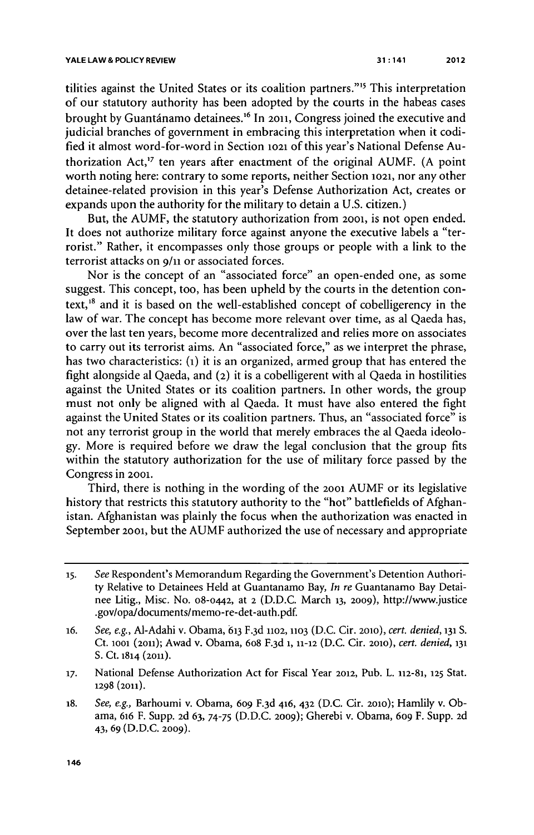tilities against the United States or its coalition partners."" This interpretation of our statutory authority has been adopted **by** the courts in the habeas cases brought **by** Guantinamo detainees." In **2011,** Congress joined the executive and judicial branches of government in embracing this interpretation when it codified it almost word-for-word in Section **1021** of this year's National Defense Authorization Act,<sup>17</sup> ten years after enactment of the original AUMF. (A point worth noting here: contrary to some reports, neither Section **1021,** nor any other detainee-related provision in this year's Defense Authorization Act, creates or expands upon the authority for the military to detain a **U.S.** citizen.)

But, the **AUMF,** the statutory authorization from **2001,** is not open ended. It does not authorize military force against anyone the executive labels a "terrorist." Rather, it encompasses only those groups or people with a link to the terrorist attacks on **9/11** or associated forces.

Nor is the concept of an "associated force" an open-ended one, as some suggest. This concept, too, has been upheld **by** the courts in the detention context, $18$  and it is based on the well-established concept of cobelligerency in the law of war. The concept has become more relevant over time, as al Qaeda has, over the last ten years, become more decentralized and relies more on associates to carry out its terrorist aims. An "associated force," as we interpret the phrase, has two characteristics: **(i)** it is an organized, armed group that has entered the fight alongside al Qaeda, and **(2)** it is a cobelligerent with al Qaeda in hostilities against the United States or its coalition partners. In other words, the group must not only be aligned with al Qaeda. It must have also entered the fight against the United States or its coalition partners. Thus, an "associated force" is not any terrorist group in the world that merely embraces the al Qaeda ideolo**gy.** More is required before we draw the legal conclusion that the group fits within the statutory authorization for the use of military force passed **by** the Congress in **2001.**

Third, there is nothing in the wording of the **2001 AUMF** or its legislative history that restricts this statutory authority to the "hot" battlefields of Afghanistan. Afghanistan was plainly the focus when the authorization was enacted in September **2001,** but the **AUMF** authorized the use of necessary and appropriate

- **17.** National Defense Authorization Act for Fiscal Year **2012,** Pub. L. **112-81, 125** Stat. **1298 (2011).**
- **18.** *See, e.g.,* Barhoumi v. Obama, 609 **F.3d 416, 432 (D.C.** Cir. **2010);** Hamlily v. **Ob**ama, 616 F. **Supp. 2d 63,** *74-75* **(D.D.C. 2009);** Gherebi v. Obama, 609 F. **Supp. 2d** 43, **69 (D.D.C. 2009).**

**<sup>15.</sup>** *See* Respondent's Memorandum Regarding the Government's Detention Authority Relative to Detainees Held at Guantanamo Bay, *In re* Guantanamo Bay Detainee Litig., Misc. No. **o8-0442,** at **2 (D.D.C.** March **13, 2009),** http://www.justice .gov/opaldocuments/memo-re-det-auth.pdf.

*<sup>16.</sup> See, e.g.,* Al-Adahi v. Obama, **613 F-3d 1102, 1103 (D.C.** Cir. **2010),** *cert. denied,* **131 S.** Ct. **1oo1 (2o1);** Awad v. Obama, 608 **F.3d 1, 11-12 (D.C.** Cir. **2010),** *cert. denied, <sup>131</sup>* **S.** Ct. **1814 (2011).**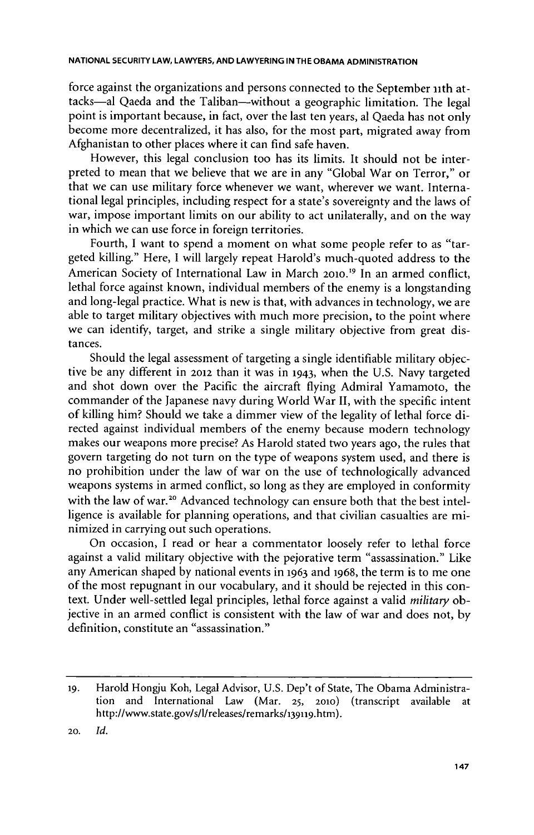force against the organizations and persons connected to the September 11th attacks-al Qaeda and the Taliban-without a geographic limitation. The legal point is important because, in fact, over the last ten years, al Qaeda has not only become more decentralized, it has also, for the most part, migrated away from Afghanistan to other places where it can find safe haven.

However, this legal conclusion too has its limits. It should not be interpreted to mean that we believe that we are in any "Global War on Terror," or that we can use military force whenever we want, wherever we want. International legal principles, including respect for a state's sovereignty and the laws of war, impose important limits on our ability to act unilaterally, and on the way in which we can use force in foreign territories.

Fourth, **I** want to spend a moment on what some people refer to as "targeted killing." Here, **I** will largely repeat Harold's much-quoted address to the American Society of International Law in March **2010.'9** In an armed conflict, lethal force against known, individual members of the enemy is a longstanding and long-legal practice. What is new is that, with advances in technology, we are able to target military objectives with much more precision, to the point where we can identify, target, and strike a single military objective from great distances.

Should the legal assessment of targeting a single identifiable military objective be any different in **2012** than **it** was in **1943,** when the **U.S.** Navy targeted and shot down over the Pacific the aircraft flying Admiral Yamamoto, the commander of the Japanese navy during World War **1I,** with the specific intent of killing him? Should we take a dimmer view of the legality of lethal force directed against individual members of the enemy because modern technology makes our weapons more precise? As Harold stated two years ago, the rules that govern targeting do not turn on the type of weapons system used, and there is no prohibition under the law of war on the use of technologically advanced weapons systems in armed conflict, so long as they are employed in conformity with the law of war.<sup>20</sup> Advanced technology can ensure both that the best intelligence is available for planning operations, and that civilian casualties are minimized in carrying out such operations.

On occasion, **I** read or hear a commentator loosely refer to lethal force against a valid military objective with the pejorative term "assassination." Like any American shaped **by** national events in **1963** and 1968, the term is to me one of the most repugnant in our vocabulary, and it should be rejected in this context. Under well-settled legal principles, lethal force against a valid *military* objective in an armed conflict is consistent with the law of war and does not, **by** definition, constitute an "assassination."

**<sup>19.</sup>** Harold Hongju Koh, Legal Advisor, **U.S.** Dep't of State, The Obama Administration and International Law (Mar. **25, 2010)** (transcript available at http://www.state.gov/s/l/releases/remarks/1391l9.htm).

**<sup>20.</sup>** *Id.*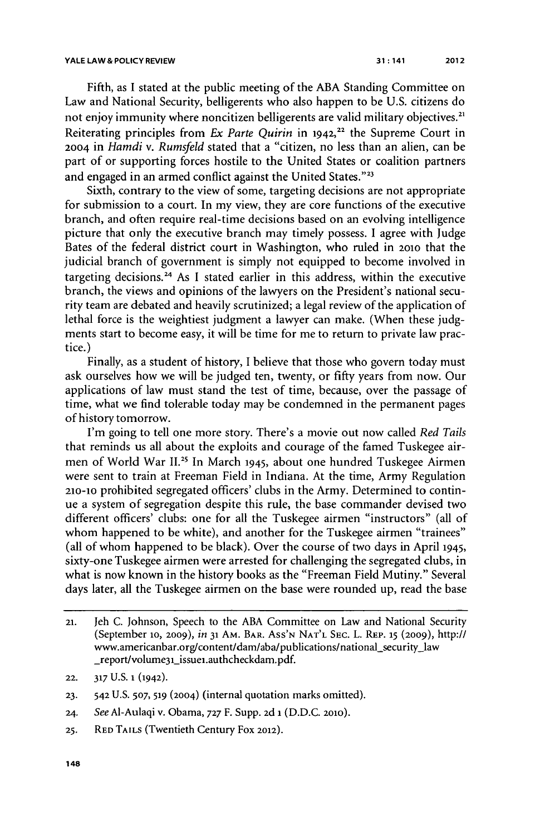Fifth, as **I** stated at the public meeting of the **ABA** Standing Committee on Law and National Security, belligerents who also happen to be **U.S.** citizens do not enjoy immunity where noncitizen belligerents are valid military objectives." Reiterating principles from *Ex Parte Quirin* in **1942,"** the Supreme Court in **2004** in *Hamdi v. Rumsfeld* stated that a "citizen, no less than an alien, can be part of or supporting forces hostile to the United States or coalition partners and engaged in an armed conflict against the United States."<sup>23</sup>

Sixth, contrary to the view of some, targeting decisions are not appropriate for submission to a court. In my view, they are core functions of the executive branch, and often require real-time decisions based on an evolving intelligence picture that only the executive branch may timely possess. **I** agree with Judge Bates of the federal district court in Washington, who ruled in **2010** that the judicial branch of government is simply not equipped to become involved in targeting decisions. 4 As **I** stated earlier in this address, within the executive branch, the views and opinions of the lawyers on the President's national security team are debated and heavily scrutinized; a legal review of the application of lethal force is the weightiest judgment a lawyer can make. (When these **judg**ments start to become easy, it will be time for me to return to private law practice.)

Finally, as a student **of** history, **I** believe that those who govern today must ask ourselves how we will be judged ten, twenty, or fifty years from now. Our applications of law must stand the test **of** time, because, over the passage of time, what we find tolerable today may be condemned in the permanent pages of history tomorrow.

I'm going to tell one more story. There's a movie out now called *Red Tails* that reminds us all about the exploits and courage of the famed Tuskegee airmen of World War **II."** In March **1945,** about one hundred Tuskegee Airmen were sent to train at Freeman Field in Indiana. At the time, Army Regulation **210-10** prohibited segregated officers' clubs in the Army. Determined to continue a system of segregation despite this rule, the base commander devised two different officers' clubs: one for all the Tuskegee airmen "instructors" (all of whom happened to be white), and another for the Tuskegee airmen "trainees" (all of whom happened to be black). Over the course of two days **in** April **1945,** sixty-one Tuskegee airmen were arrested for challenging the segregated clubs, in what is now known in the history books as the "Freeman Field Mutiny." Several days later, all the Tuskegee airmen on the base were rounded **up,** read the base

**<sup>21.</sup>** Jeh **C.** Johnson, Speech to the **ABA** Committee on Law and National Security (September **io, 2009),** in **31 AM. BAR. Ass'N NAT'L SEc.** L. **REP. 15 (2009),** http:// www.americanbar.org/content/dam/aba/publications/national\_security\_law report/volume31\_issuei.authcheckdam.pdf.

**<sup>22. 317</sup> U.S. 1 (1942).**

**<sup>23. 542</sup> U.S. 507, 519 (2004)** (internal quotation marks omitted).

<sup>24.</sup> *See* Al-Aulaqi v. Obama, **727** F. **Supp. 2d 1 (D.D.C. 2010).**

**<sup>25.</sup> RED TAILS** (Twentieth Century FOX **2012).**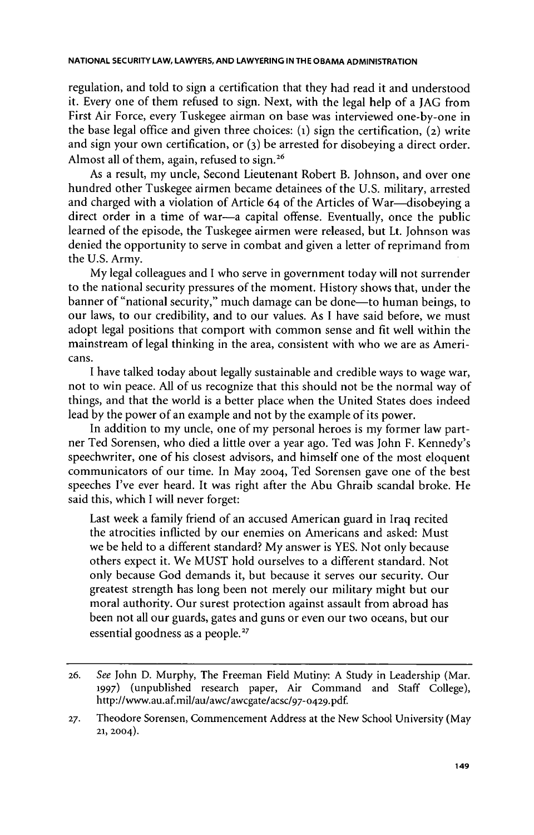#### **NATIONAL SECURITY LAW, LAWYERS, AND LAWYERING IN THE OBAMA ADMINISTRATION**

regulation, and told to sign a certification that they had read it and understood it. Every one of them refused to sign. Next, with the legal help of a **JAG** from First Air Force, every Tuskegee airman on base was interviewed one-by-one in the base legal office and given three choices: **(i)** sign the certification, **(2)** write and sign your own certification, or **(3)** be arrested for disobeying a direct order. Almost all of them, again, refused to sign.<sup>26</sup>

As a result, my uncle, Second Lieutenant Robert B. Johnson, and over one hundred other Tuskegee airmen became detainees of the **U.S.** military, arrested and charged with a violation of Article 64 of the Articles of War-disobeying a direct order in a time of war-a capital offense. Eventually, once the public learned of the episode, the Tuskegee airmen were released, but Lt. Johnson was denied the opportunity to serve in combat and given a letter of reprimand from the **U.S.** Army.

**My** legal colleagues and **I** who serve in government today will not surrender to the national security pressures of the moment. History shows that, under the banner of "national security," much damage can be done-to human beings, to our laws, to our credibility, and to our values. As **I** have said before, we must adopt legal positions that comport with common sense and fit well within the mainstream of legal thinking in the area, consistent with who we are as Americans.

**I** have talked today about legally sustainable and credible ways to wage war, not to win peace. **All** of us recognize that this should not be the normal way of things, and that the world is a better place when the United States does indeed lead **by** the power of an example and not **by** the example of its power.

In addition to my uncle, one of my personal heroes is my former law partner Ted Sorensen, who died a little over a year ago. Ted was John F. Kennedy's speechwriter, one of his closest advisors, and himself one of the most eloquent communicators of our time. In May **2004,** Ted Sorensen gave one of the best speeches I've ever heard. It was right after the Abu Ghraib scandal broke. He said this, which **I** will never forget:

Last week a family friend of an accused American guard in Iraq recited the atrocities inflicted **by** our enemies on Americans and asked: Must we be held to a different standard? **My** answer is YES. Not only because others expect it. We **MUST** hold ourselves to a different standard. Not only because God demands it, but because it serves our security. Our greatest strength has long been not merely our military might but our moral authority. Our surest protection against assault from abroad has been not all our guards, gates and guns or even our two oceans, but our essential goodness as a people.<sup>27</sup>

**<sup>26.</sup>** See John **D.** Murphy, The Freeman Field Mutiny- **A** Study in Leadership (Mar. **1997)** (unpublished research paper, Air Command and Staff College), http://www.au.af.mil/au/awc/awcgate/acsc/97-o429.pdf.

**<sup>27.</sup>** Theodore Sorensen, Commencement Address at the New School University (May **21, 2004).**